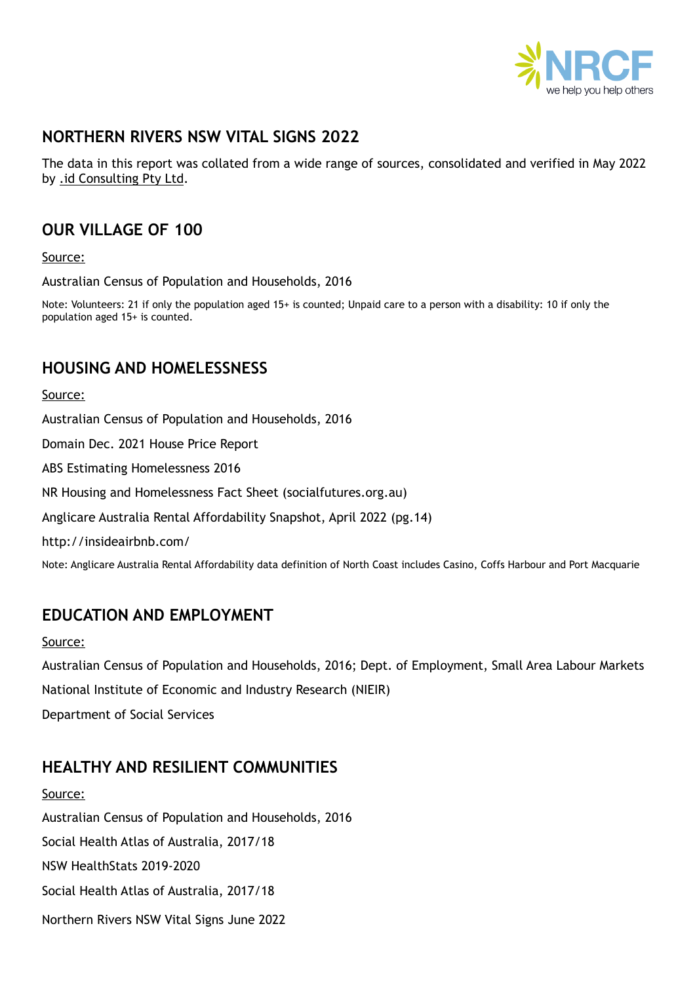

# **NORTHERN RIVERS NSW VITAL SIGNS 2022**

The data in this report was collated from a wide range of sources, consolidated and verified in May 2022 by [.id Consulting Pty Ltd](https://home.id.com.au/).

# **OUR VILLAGE OF 100**

Source:

Australian Census of Population and Households, 2016

Note: Volunteers: 21 if only the population aged 15+ is counted; Unpaid care to a person with a disability: 10 if only the population aged 15+ is counted.

## **HOUSING AND HOMELESSNESS**

Source:

Australian Census of Population and Households, 2016 Domain Dec. 2021 House Price Report ABS Estimating Homelessness 2016 [NR Housing and Homelessness Fact Sheet \(socialfutures.org.au\)](https://community-hub.socialfutures.org.au/wp-content/uploads/2021/11/20211111-NR-housing-fact-sheet.pdf)  Anglicare Australia Rental Affordability Snapshot, April 2022 (pg.14) <http://insideairbnb.com/>

Note: Anglicare Australia Rental Affordability data definition of North Coast includes Casino, Coffs Harbour and Port Macquarie

# **EDUCATION AND EMPLOYMENT**

### Source:

Australian Census of Population and Households, 2016; Dept. of Employment, Small Area Labour Markets National Institute of Economic and Industry Research (NIEIR) Department of Social Services

# **HEALTHY AND RESILIENT COMMUNITIES**

Source: Australian Census of Population and Households, 2016 Social Health Atlas of Australia, 2017/18 NSW HealthStats 2019-2020 Social Health Atlas of Australia, 2017/18 Northern Rivers NSW Vital Signs June 2022